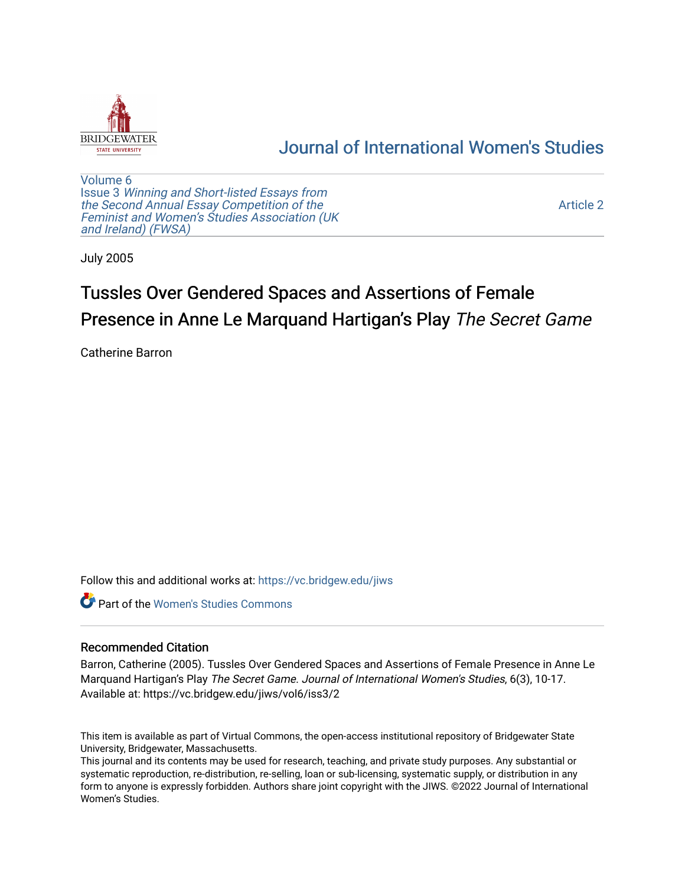

## [Journal of International Women's Studies](https://vc.bridgew.edu/jiws)

[Volume 6](https://vc.bridgew.edu/jiws/vol6) Issue 3 [Winning and Short-listed Essays from](https://vc.bridgew.edu/jiws/vol6/iss3) [the Second Annual Essay Competition of the](https://vc.bridgew.edu/jiws/vol6/iss3)  [Feminist and Women's Studies Association \(UK](https://vc.bridgew.edu/jiws/vol6/iss3) [and Ireland\) \(FWSA\)](https://vc.bridgew.edu/jiws/vol6/iss3) 

[Article 2](https://vc.bridgew.edu/jiws/vol6/iss3/2) 

July 2005

# Tussles Over Gendered Spaces and Assertions of Female Presence in Anne Le Marquand Hartigan's Play The Secret Game

Catherine Barron

Follow this and additional works at: [https://vc.bridgew.edu/jiws](https://vc.bridgew.edu/jiws?utm_source=vc.bridgew.edu%2Fjiws%2Fvol6%2Fiss3%2F2&utm_medium=PDF&utm_campaign=PDFCoverPages)

Part of the [Women's Studies Commons](http://network.bepress.com/hgg/discipline/561?utm_source=vc.bridgew.edu%2Fjiws%2Fvol6%2Fiss3%2F2&utm_medium=PDF&utm_campaign=PDFCoverPages) 

## Recommended Citation

Barron, Catherine (2005). Tussles Over Gendered Spaces and Assertions of Female Presence in Anne Le Marquand Hartigan's Play The Secret Game. Journal of International Women's Studies, 6(3), 10-17. Available at: https://vc.bridgew.edu/jiws/vol6/iss3/2

This item is available as part of Virtual Commons, the open-access institutional repository of Bridgewater State University, Bridgewater, Massachusetts.

This journal and its contents may be used for research, teaching, and private study purposes. Any substantial or systematic reproduction, re-distribution, re-selling, loan or sub-licensing, systematic supply, or distribution in any form to anyone is expressly forbidden. Authors share joint copyright with the JIWS. ©2022 Journal of International Women's Studies.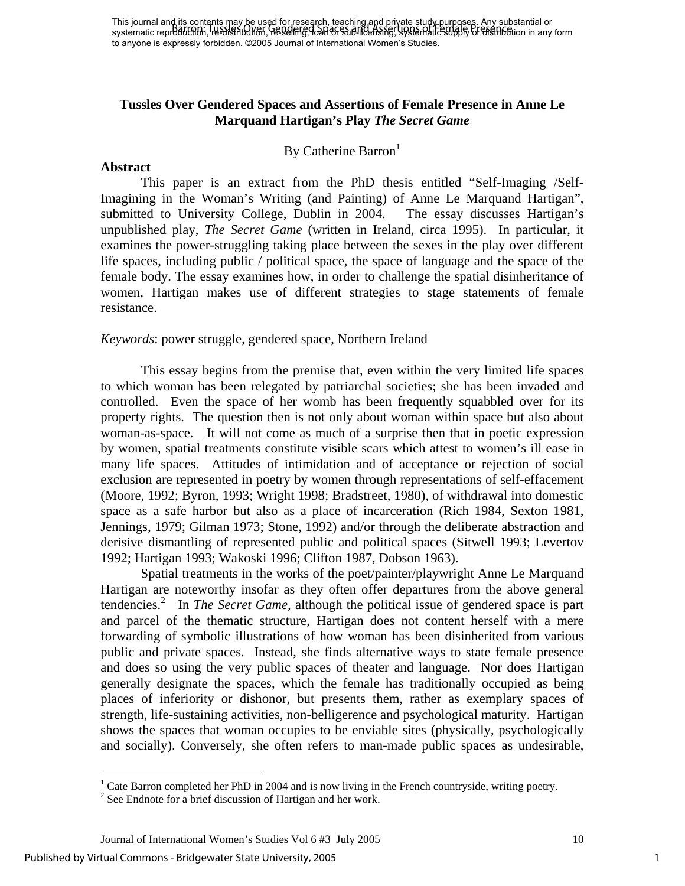This journal and its contents may be used for research, teaching and private study purposes. Any substantial or systematic repr**∂duction, re-distribution, re-selling, loan or sub-licensing, systematic supply or distribut**ion in any form to anyone is expressly forbidden. ©2005 Journal of International Women's Studies. Barron: Tussles Over Gendered Spaces and Assertions of Female Presence

## **Tussles Over Gendered Spaces and Assertions of Female Presence in Anne Le Marquand Hartigan's Play** *The Secret Game*

## By Catherine Barron<sup>1</sup>

#### **Abstract**

This paper is an extract from the PhD thesis entitled "Self-Imaging /Self-Imagining in the Woman's Writing (and Painting) of Anne Le Marquand Hartigan", submitted to University College, Dublin in 2004. The essay discusses Hartigan's unpublished play, *The Secret Game* (written in Ireland, circa 1995). In particular, it examines the power-struggling taking place between the sexes in the play over different life spaces, including public / political space, the space of language and the space of the female body. The essay examines how, in order to challenge the spatial disinheritance of women, Hartigan makes use of different strategies to stage statements of female resistance.

## *Keywords*: power struggle, gendered space, Northern Ireland

This essay begins from the premise that, even within the very limited life spaces to which woman has been relegated by patriarchal societies; she has been invaded and controlled. Even the space of her womb has been frequently squabbled over for its property rights. The question then is not only about woman within space but also about woman-as-space. It will not come as much of a surprise then that in poetic expression by women, spatial treatments constitute visible scars which attest to women's ill ease in many life spaces. Attitudes of intimidation and of acceptance or rejection of social exclusion are represented in poetry by women through representations of self-effacement (Moore, 1992; Byron, 1993; Wright 1998; Bradstreet, 1980), of withdrawal into domestic space as a safe harbor but also as a place of incarceration (Rich 1984, Sexton 1981, Jennings, 1979; Gilman 1973; Stone, 1992) and/or through the deliberate abstraction and derisive dismantling of represented public and political spaces (Sitwell 1993; Levertov 1992; Hartigan 1993; Wakoski 1996; Clifton 1987, Dobson 1963).

Spatial treatments in the works of the poet/painter/playwright Anne Le Marquand Hartigan are noteworthy insofar as they often offer departures from the above general tendencies.<sup>[2](#page-1-1)</sup> In *The Secret Game*, although the political issue of gendered space is part and parcel of the thematic structure, Hartigan does not content herself with a mere forwarding of symbolic illustrations of how woman has been disinherited from various public and private spaces. Instead, she finds alternative ways to state female presence and does so using the very public spaces of theater and language. Nor does Hartigan generally designate the spaces, which the female has traditionally occupied as being places of inferiority or dishonor, but presents them, rather as exemplary spaces of strength, life-sustaining activities, non-belligerence and psychological maturity. Hartigan shows the spaces that woman occupies to be enviable sites (physically, psychologically and socially). Conversely, she often refers to man-made public spaces as undesirable,

1

<span id="page-1-0"></span><sup>&</sup>lt;sup>1</sup> Cate Barron completed her PhD in 2004 and is now living in the French countryside, writing poetry.

<span id="page-1-1"></span> $2$  See Endnote for a brief discussion of Hartigan and her work.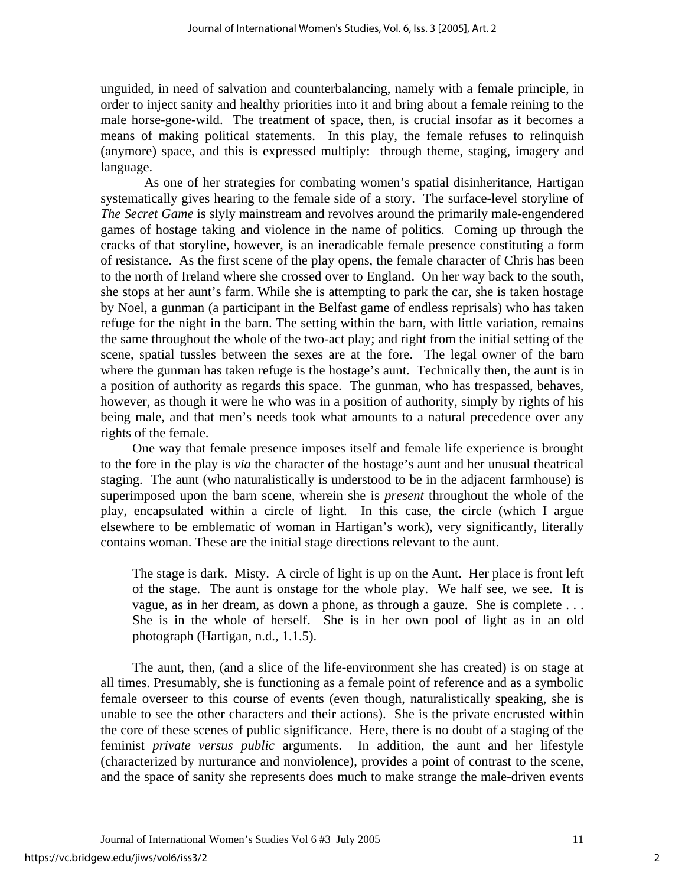unguided, in need of salvation and counterbalancing, namely with a female principle, in order to inject sanity and healthy priorities into it and bring about a female reining to the male horse-gone-wild. The treatment of space, then, is crucial insofar as it becomes a means of making political statements. In this play, the female refuses to relinquish (anymore) space, and this is expressed multiply: through theme, staging, imagery and language.

 As one of her strategies for combating women's spatial disinheritance, Hartigan systematically gives hearing to the female side of a story. The surface-level storyline of *The Secret Game* is slyly mainstream and revolves around the primarily male-engendered games of hostage taking and violence in the name of politics. Coming up through the cracks of that storyline, however, is an ineradicable female presence constituting a form of resistance. As the first scene of the play opens, the female character of Chris has been to the north of Ireland where she crossed over to England. On her way back to the south, she stops at her aunt's farm. While she is attempting to park the car, she is taken hostage by Noel, a gunman (a participant in the Belfast game of endless reprisals) who has taken refuge for the night in the barn. The setting within the barn, with little variation, remains the same throughout the whole of the two-act play; and right from the initial setting of the scene, spatial tussles between the sexes are at the fore. The legal owner of the barn where the gunman has taken refuge is the hostage's aunt. Technically then, the aunt is in a position of authority as regards this space. The gunman, who has trespassed, behaves, however, as though it were he who was in a position of authority, simply by rights of his being male, and that men's needs took what amounts to a natural precedence over any rights of the female.

One way that female presence imposes itself and female life experience is brought to the fore in the play is *via* the character of the hostage's aunt and her unusual theatrical staging. The aunt (who naturalistically is understood to be in the adjacent farmhouse) is superimposed upon the barn scene, wherein she is *present* throughout the whole of the play, encapsulated within a circle of light. In this case, the circle (which I argue elsewhere to be emblematic of woman in Hartigan's work), very significantly, literally contains woman. These are the initial stage directions relevant to the aunt.

The stage is dark. Misty. A circle of light is up on the Aunt. Her place is front left of the stage. The aunt is onstage for the whole play. We half see, we see. It is vague, as in her dream, as down a phone, as through a gauze. She is complete . . . She is in the whole of herself. She is in her own pool of light as in an old photograph (Hartigan, n.d., 1.1.5).

The aunt, then, (and a slice of the life-environment she has created) is on stage at all times. Presumably, she is functioning as a female point of reference and as a symbolic female overseer to this course of events (even though, naturalistically speaking, she is unable to see the other characters and their actions). She is the private encrusted within the core of these scenes of public significance. Here, there is no doubt of a staging of the feminist *private versus public* arguments. In addition, the aunt and her lifestyle (characterized by nurturance and nonviolence), provides a point of contrast to the scene, and the space of sanity she represents does much to make strange the male-driven events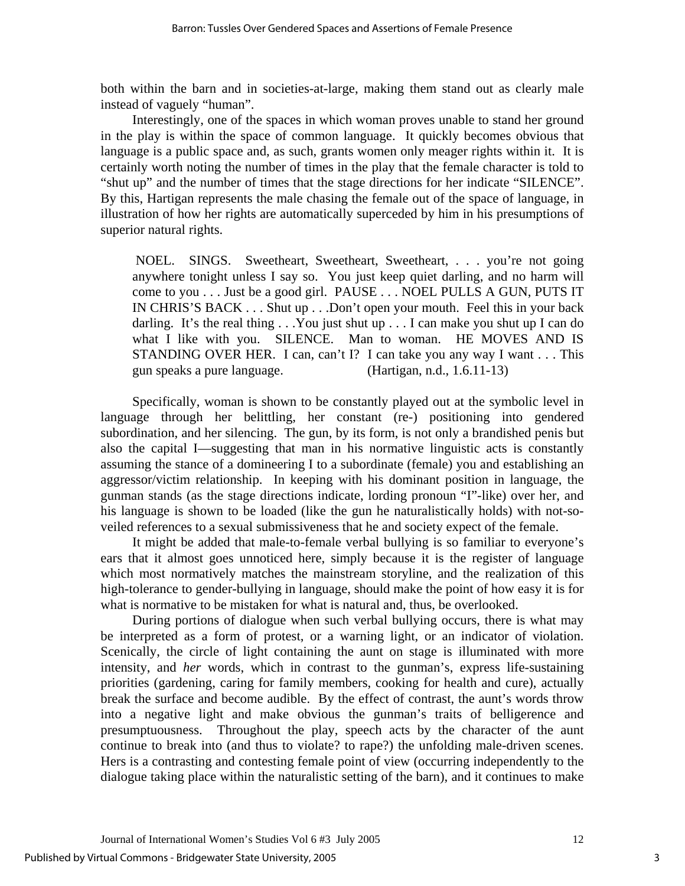both within the barn and in societies-at-large, making them stand out as clearly male instead of vaguely "human".

Interestingly, one of the spaces in which woman proves unable to stand her ground in the play is within the space of common language. It quickly becomes obvious that language is a public space and, as such, grants women only meager rights within it. It is certainly worth noting the number of times in the play that the female character is told to "shut up" and the number of times that the stage directions for her indicate "SILENCE". By this, Hartigan represents the male chasing the female out of the space of language, in illustration of how her rights are automatically superceded by him in his presumptions of superior natural rights.

 NOEL. SINGS. Sweetheart, Sweetheart, Sweetheart, . . . you're not going anywhere tonight unless I say so. You just keep quiet darling, and no harm will come to you . . . Just be a good girl. PAUSE . . . NOEL PULLS A GUN, PUTS IT IN CHRIS'S BACK . . . Shut up . . .Don't open your mouth. Feel this in your back darling. It's the real thing . . .You just shut up . . . I can make you shut up I can do what I like with you. SILENCE. Man to woman. HE MOVES AND IS STANDING OVER HER. I can, can't I? I can take you any way I want . . . This gun speaks a pure language. (Hartigan, n.d., 1.6.11-13)

Specifically, woman is shown to be constantly played out at the symbolic level in language through her belittling, her constant (re-) positioning into gendered subordination, and her silencing. The gun, by its form, is not only a brandished penis but also the capital I—suggesting that man in his normative linguistic acts is constantly assuming the stance of a domineering I to a subordinate (female) you and establishing an aggressor/victim relationship. In keeping with his dominant position in language, the gunman stands (as the stage directions indicate, lording pronoun "I"-like) over her, and his language is shown to be loaded (like the gun he naturalistically holds) with not-soveiled references to a sexual submissiveness that he and society expect of the female.

It might be added that male-to-female verbal bullying is so familiar to everyone's ears that it almost goes unnoticed here, simply because it is the register of language which most normatively matches the mainstream storyline, and the realization of this high-tolerance to gender-bullying in language, should make the point of how easy it is for what is normative to be mistaken for what is natural and, thus, be overlooked.

During portions of dialogue when such verbal bullying occurs, there is what may be interpreted as a form of protest, or a warning light, or an indicator of violation. Scenically, the circle of light containing the aunt on stage is illuminated with more intensity, and *her* words, which in contrast to the gunman's, express life-sustaining priorities (gardening, caring for family members, cooking for health and cure), actually break the surface and become audible. By the effect of contrast, the aunt's words throw into a negative light and make obvious the gunman's traits of belligerence and presumptuousness. Throughout the play, speech acts by the character of the aunt continue to break into (and thus to violate? to rape?) the unfolding male-driven scenes. Hers is a contrasting and contesting female point of view (occurring independently to the dialogue taking place within the naturalistic setting of the barn), and it continues to make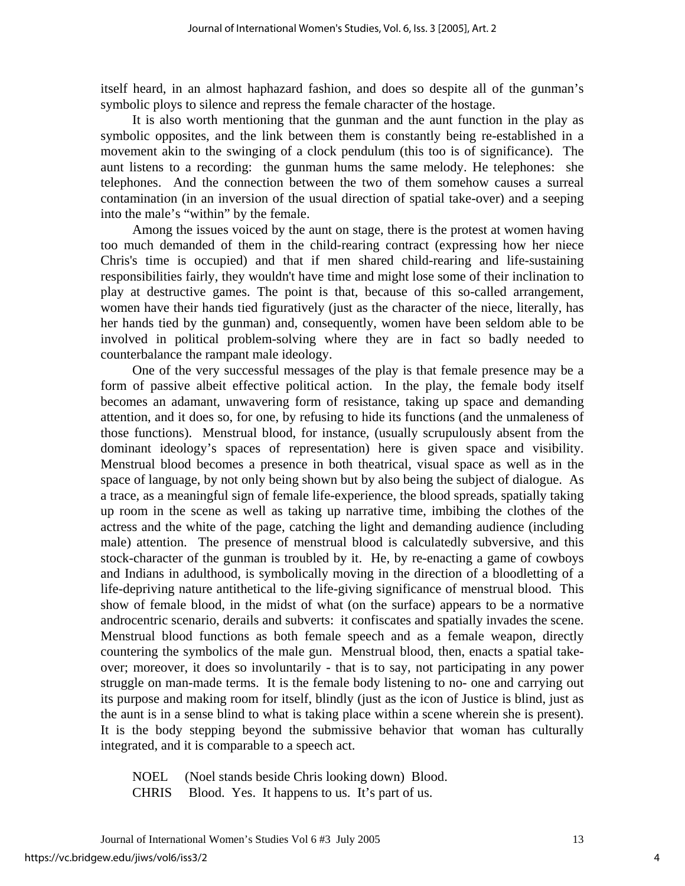itself heard, in an almost haphazard fashion, and does so despite all of the gunman's symbolic ploys to silence and repress the female character of the hostage.

It is also worth mentioning that the gunman and the aunt function in the play as symbolic opposites, and the link between them is constantly being re-established in a movement akin to the swinging of a clock pendulum (this too is of significance). The aunt listens to a recording: the gunman hums the same melody. He telephones: she telephones. And the connection between the two of them somehow causes a surreal contamination (in an inversion of the usual direction of spatial take-over) and a seeping into the male's "within" by the female.

Among the issues voiced by the aunt on stage, there is the protest at women having too much demanded of them in the child-rearing contract (expressing how her niece Chris's time is occupied) and that if men shared child-rearing and life-sustaining responsibilities fairly, they wouldn't have time and might lose some of their inclination to play at destructive games. The point is that, because of this so-called arrangement, women have their hands tied figuratively (just as the character of the niece, literally, has her hands tied by the gunman) and, consequently, women have been seldom able to be involved in political problem-solving where they are in fact so badly needed to counterbalance the rampant male ideology.

One of the very successful messages of the play is that female presence may be a form of passive albeit effective political action. In the play, the female body itself becomes an adamant, unwavering form of resistance, taking up space and demanding attention, and it does so, for one, by refusing to hide its functions (and the unmaleness of those functions). Menstrual blood, for instance, (usually scrupulously absent from the dominant ideology's spaces of representation) here is given space and visibility. Menstrual blood becomes a presence in both theatrical, visual space as well as in the space of language, by not only being shown but by also being the subject of dialogue. As a trace, as a meaningful sign of female life-experience, the blood spreads, spatially taking up room in the scene as well as taking up narrative time, imbibing the clothes of the actress and the white of the page, catching the light and demanding audience (including male) attention. The presence of menstrual blood is calculatedly subversive, and this stock-character of the gunman is troubled by it. He, by re-enacting a game of cowboys and Indians in adulthood, is symbolically moving in the direction of a bloodletting of a life-depriving nature antithetical to the life-giving significance of menstrual blood. This show of female blood, in the midst of what (on the surface) appears to be a normative androcentric scenario, derails and subverts: it confiscates and spatially invades the scene. Menstrual blood functions as both female speech and as a female weapon, directly countering the symbolics of the male gun. Menstrual blood, then, enacts a spatial takeover; moreover, it does so involuntarily - that is to say, not participating in any power struggle on man-made terms. It is the female body listening to no- one and carrying out its purpose and making room for itself, blindly (just as the icon of Justice is blind, just as the aunt is in a sense blind to what is taking place within a scene wherein she is present). It is the body stepping beyond the submissive behavior that woman has culturally integrated, and it is comparable to a speech act.

NOEL (Noel stands beside Chris looking down) Blood.

CHRIS Blood. Yes. It happens to us. It's part of us.

4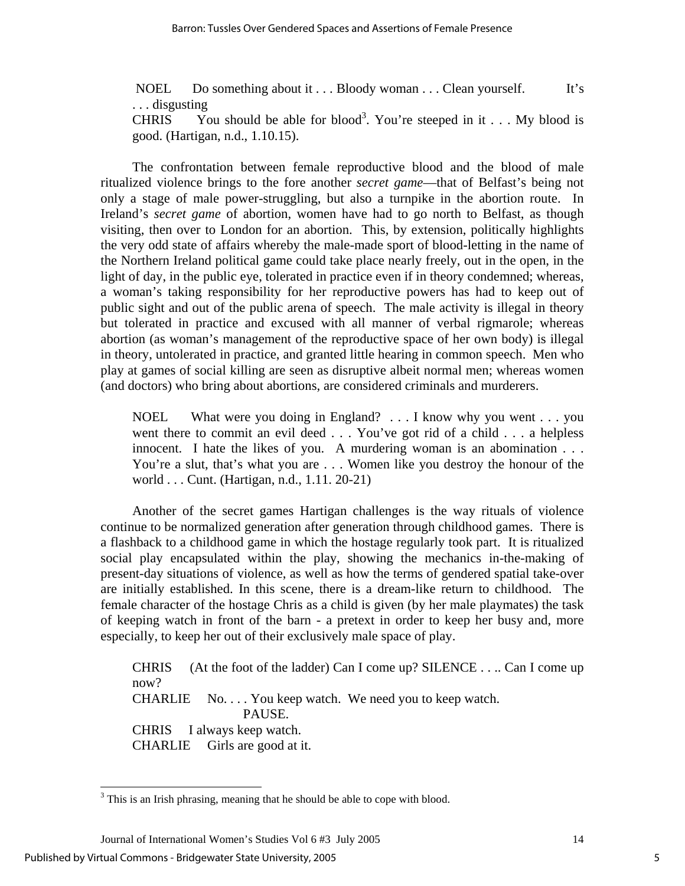NOEL Do something about it . . . Bloody woman . . . Clean yourself. It's . . . disgusting CHRIS You should be able for blood<sup>3</sup>. You're steeped in it . . . My blood is good. (Hartigan, n.d., 1.10.15).

The confrontation between female reproductive blood and the blood of male ritualized violence brings to the fore another *secret game*—that of Belfast's being not only a stage of male power-struggling, but also a turnpike in the abortion route. In Ireland's *secret game* of abortion, women have had to go north to Belfast, as though visiting, then over to London for an abortion. This, by extension, politically highlights the very odd state of affairs whereby the male-made sport of blood-letting in the name of the Northern Ireland political game could take place nearly freely, out in the open, in the light of day, in the public eye, tolerated in practice even if in theory condemned; whereas, a woman's taking responsibility for her reproductive powers has had to keep out of public sight and out of the public arena of speech. The male activity is illegal in theory but tolerated in practice and excused with all manner of verbal rigmarole; whereas abortion (as woman's management of the reproductive space of her own body) is illegal in theory, untolerated in practice, and granted little hearing in common speech. Men who play at games of social killing are seen as disruptive albeit normal men; whereas women (and doctors) who bring about abortions, are considered criminals and murderers.

NOEL What were you doing in England? . . . I know why you went . . . you went there to commit an evil deed . . . You've got rid of a child . . . a helpless innocent. I hate the likes of you. A murdering woman is an abomination . . . You're a slut, that's what you are . . . Women like you destroy the honour of the world . . . Cunt. (Hartigan, n.d., 1.11. 20-21)

Another of the secret games Hartigan challenges is the way rituals of violence continue to be normalized generation after generation through childhood games. There is a flashback to a childhood game in which the hostage regularly took part. It is ritualized social play encapsulated within the play, showing the mechanics in-the-making of present-day situations of violence, as well as how the terms of gendered spatial take-over are initially established. In this scene, there is a dream-like return to childhood. The female character of the hostage Chris as a child is given (by her male playmates) the task of keeping watch in front of the barn - a pretext in order to keep her busy and, more especially, to keep her out of their exclusively male space of play.

CHRIS (At the foot of the ladder) Can I come up? SILENCE . . .. Can I come up now? CHARLIE No. . . . You keep watch. We need you to keep watch. PAUSE. CHRIS I always keep watch. CHARLIE Girls are good at it.

 $\overline{a}$ 

<span id="page-5-0"></span> $3$  This is an Irish phrasing, meaning that he should be able to cope with blood.

Journal of International Women's Studies Vol 6 #3 July 2005 14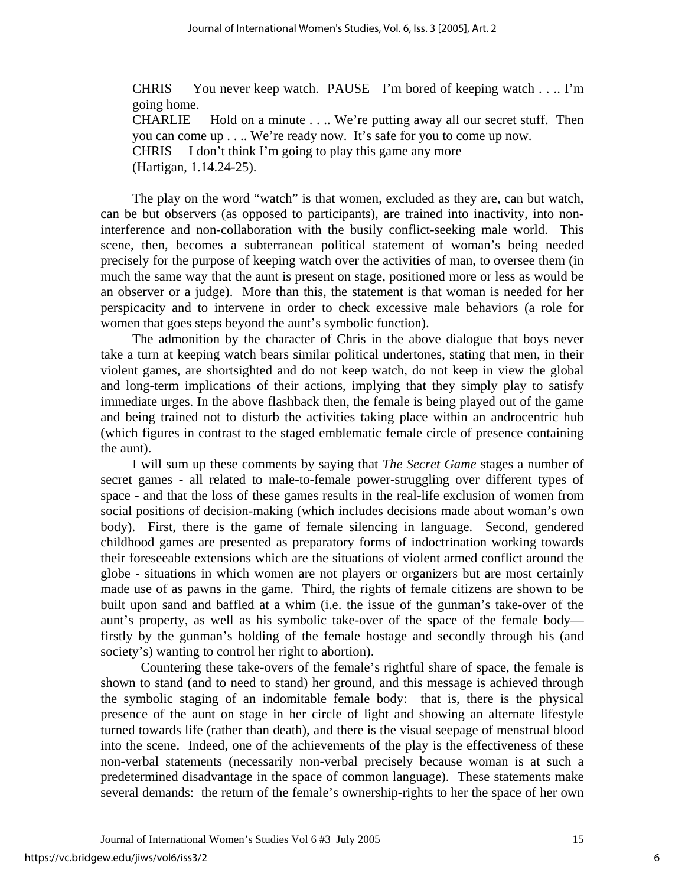CHRIS You never keep watch. PAUSE I'm bored of keeping watch . . .. I'm going home. CHARLIE Hold on a minute . . .. We're putting away all our secret stuff. Then you can come up . . .. We're ready now. It's safe for you to come up now. CHRIS I don't think I'm going to play this game any more (Hartigan, 1.14.24-25).

The play on the word "watch" is that women, excluded as they are, can but watch, can be but observers (as opposed to participants), are trained into inactivity, into noninterference and non-collaboration with the busily conflict-seeking male world. This scene, then, becomes a subterranean political statement of woman's being needed precisely for the purpose of keeping watch over the activities of man, to oversee them (in much the same way that the aunt is present on stage, positioned more or less as would be an observer or a judge). More than this, the statement is that woman is needed for her perspicacity and to intervene in order to check excessive male behaviors (a role for women that goes steps beyond the aunt's symbolic function).

The admonition by the character of Chris in the above dialogue that boys never take a turn at keeping watch bears similar political undertones, stating that men, in their violent games, are shortsighted and do not keep watch, do not keep in view the global and long-term implications of their actions, implying that they simply play to satisfy immediate urges. In the above flashback then, the female is being played out of the game and being trained not to disturb the activities taking place within an androcentric hub (which figures in contrast to the staged emblematic female circle of presence containing the aunt).

I will sum up these comments by saying that *The Secret Game* stages a number of secret games - all related to male-to-female power-struggling over different types of space - and that the loss of these games results in the real-life exclusion of women from social positions of decision-making (which includes decisions made about woman's own body). First, there is the game of female silencing in language. Second, gendered childhood games are presented as preparatory forms of indoctrination working towards their foreseeable extensions which are the situations of violent armed conflict around the globe - situations in which women are not players or organizers but are most certainly made use of as pawns in the game. Third, the rights of female citizens are shown to be built upon sand and baffled at a whim (i.e. the issue of the gunman's take-over of the aunt's property, as well as his symbolic take-over of the space of the female body firstly by the gunman's holding of the female hostage and secondly through his (and society's) wanting to control her right to abortion).

Countering these take-overs of the female's rightful share of space, the female is shown to stand (and to need to stand) her ground, and this message is achieved through the symbolic staging of an indomitable female body: that is, there is the physical presence of the aunt on stage in her circle of light and showing an alternate lifestyle turned towards life (rather than death), and there is the visual seepage of menstrual blood into the scene. Indeed, one of the achievements of the play is the effectiveness of these non-verbal statements (necessarily non-verbal precisely because woman is at such a predetermined disadvantage in the space of common language). These statements make several demands: the return of the female's ownership-rights to her the space of her own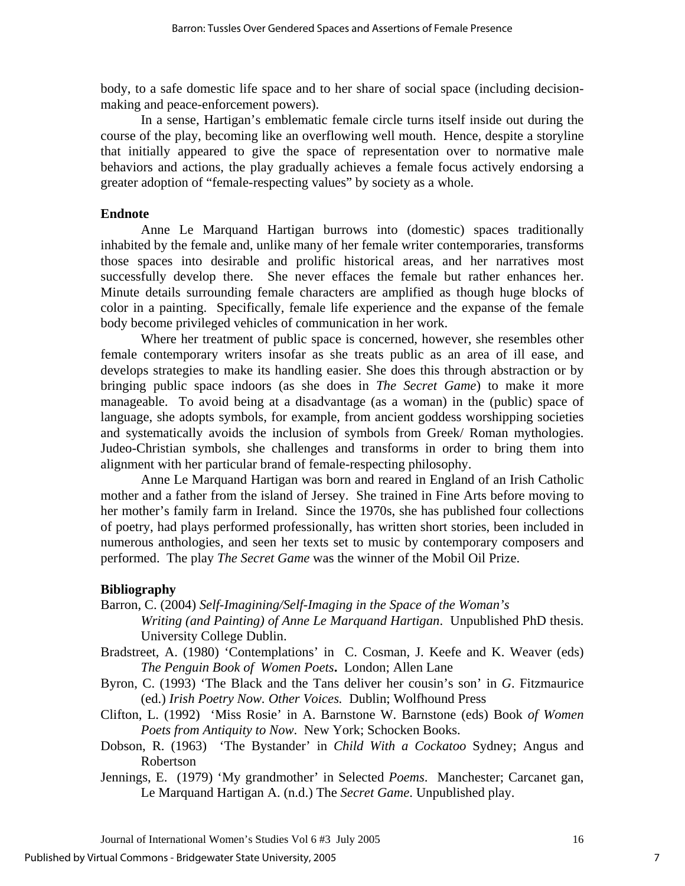body, to a safe domestic life space and to her share of social space (including decisionmaking and peace-enforcement powers).

In a sense, Hartigan's emblematic female circle turns itself inside out during the course of the play, becoming like an overflowing well mouth. Hence, despite a storyline that initially appeared to give the space of representation over to normative male behaviors and actions, the play gradually achieves a female focus actively endorsing a greater adoption of "female-respecting values" by society as a whole.

## **Endnote**

Anne Le Marquand Hartigan burrows into (domestic) spaces traditionally inhabited by the female and, unlike many of her female writer contemporaries, transforms those spaces into desirable and prolific historical areas, and her narratives most successfully develop there. She never effaces the female but rather enhances her. Minute details surrounding female characters are amplified as though huge blocks of color in a painting. Specifically, female life experience and the expanse of the female body become privileged vehicles of communication in her work.

Where her treatment of public space is concerned, however, she resembles other female contemporary writers insofar as she treats public as an area of ill ease, and develops strategies to make its handling easier. She does this through abstraction or by bringing public space indoors (as she does in *The Secret Game*) to make it more manageable. To avoid being at a disadvantage (as a woman) in the (public) space of language, she adopts symbols, for example, from ancient goddess worshipping societies and systematically avoids the inclusion of symbols from Greek/ Roman mythologies. Judeo-Christian symbols, she challenges and transforms in order to bring them into alignment with her particular brand of female-respecting philosophy.

Anne Le Marquand Hartigan was born and reared in England of an Irish Catholic mother and a father from the island of Jersey. She trained in Fine Arts before moving to her mother's family farm in Ireland. Since the 1970s, she has published four collections of poetry, had plays performed professionally, has written short stories, been included in numerous anthologies, and seen her texts set to music by contemporary composers and performed. The play *The Secret Game* was the winner of the Mobil Oil Prize.

## **Bibliography**

Barron, C. (2004) *Self-Imagining/Self-Imaging in the Space of the Woman's* 

*Writing (and Painting) of Anne Le Marquand Hartigan*. Unpublished PhD thesis. University College Dublin.

- Bradstreet, A. (1980) 'Contemplations' in C. Cosman, J. Keefe and K. Weaver (eds) *The Penguin Book of Women Poets***.** London; Allen Lane
- Byron, C. (1993) 'The Black and the Tans deliver her cousin's son' in *G*. Fitzmaurice (ed.) *Irish Poetry Now. Other Voices.* Dublin; Wolfhound Press
- Clifton, L. (1992) 'Miss Rosie' in A. Barnstone W. Barnstone (eds) Book *of Women Poets from Antiquity to Now*. New York; Schocken Books.
- Dobson, R. (1963) 'The Bystander' in *Child With a Cockatoo* Sydney; Angus and Robertson
- Jennings, E. (1979) 'My grandmother' in Selected *Poems*. Manchester; Carcanet gan, Le Marquand Hartigan A. (n.d.) The *Secret Game*. Unpublished play.